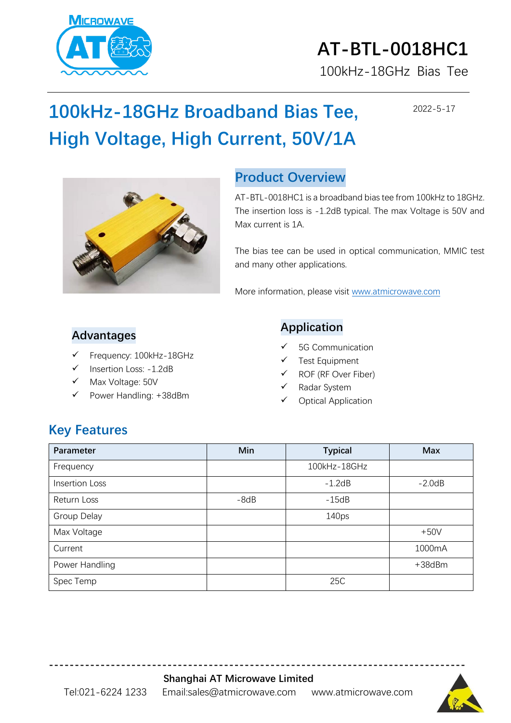

# **AT-BTL-0018HC1** 100kHz-18GHz Bias Tee

2022-5-17

# **100kHz-18GHz Broadband Bias Tee, High Voltage, High Current, 50V/1A**



#### **Product Overview**

AT-BTL-0018HC1 is a broadband bias tee from 100kHz to 18GHz. The insertion loss is -1.2dB typical. The max Voltage is 50V and Max current is 1A.

The bias tee can be used in optical communication, MMIC test and many other applications.

More information, please visit [www.atmicrowave.com](http://www.atmicrowave.com/)

#### **Advantages**

- Frequency: 100kHz-18GHz
- Insertion Loss: -1.2dB
- Max Voltage: 50V
- Power Handling: +38dBm

#### **Application**

- 5G Communication
- ✓ Test Equipment
- ✓ ROF (RF Over Fiber)
- ✓ Radar System
- Optical Application

### **Key Features**

| Parameter      | Min    | <b>Typical</b>    | <b>Max</b>   |
|----------------|--------|-------------------|--------------|
| Frequency      |        | 100kHz-18GHz      |              |
| Insertion Loss |        | $-1.2dB$          | $-2.0dB$     |
| Return Loss    | $-8dB$ | $-15dB$           |              |
| Group Delay    |        | 140 <sub>ps</sub> |              |
| Max Voltage    |        |                   | $+50V$       |
| Current        |        |                   | 1000mA       |
| Power Handling |        |                   | $+38$ d $Bm$ |
| Spec Temp      |        | 25C               |              |

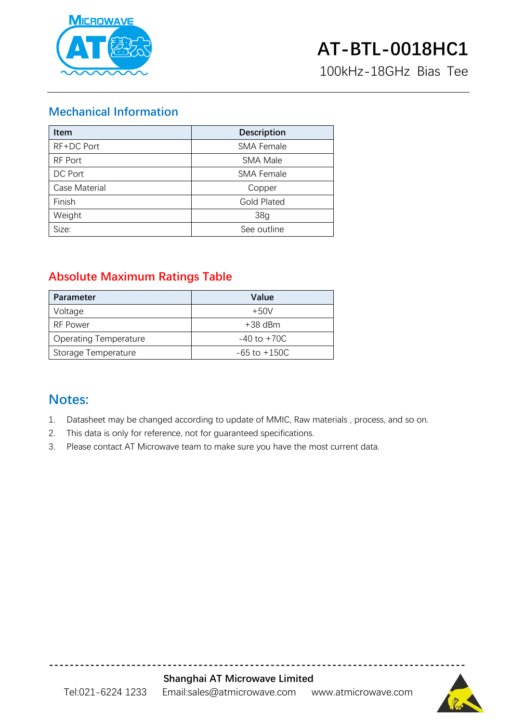

100kHz-18GHz Bias Tee

#### **Mechanical Information**

| <b>Item</b>   | <b>Description</b> |  |
|---------------|--------------------|--|
| RF+DC Port    | <b>SMA Female</b>  |  |
| RF Port       | <b>SMA Male</b>    |  |
| DC Port       | <b>SMA Female</b>  |  |
| Case Material | Copper             |  |
| Finish        | <b>Gold Plated</b> |  |
| Weight        | 38 <sub>g</sub>    |  |
| Size:         | See outline        |  |

#### **Absolute Maximum Ratings Table**

| <b>Parameter</b>             | Value            |
|------------------------------|------------------|
| Voltage                      | $+50V$           |
| <b>RF Power</b>              | $+38$ dBm        |
| <b>Operating Temperature</b> | $-40$ to $+70C$  |
| Storage Temperature          | $-65$ to $+150C$ |

#### **Notes:**

- 1. Datasheet may be changed according to update of MMIC, Raw materials , process, and so on.
- 2. This data is only for reference, not for guaranteed specifications.
- 3. Please contact AT Microwave team to make sure you have the most current data.



**---------------------------------------------------------------------------------**